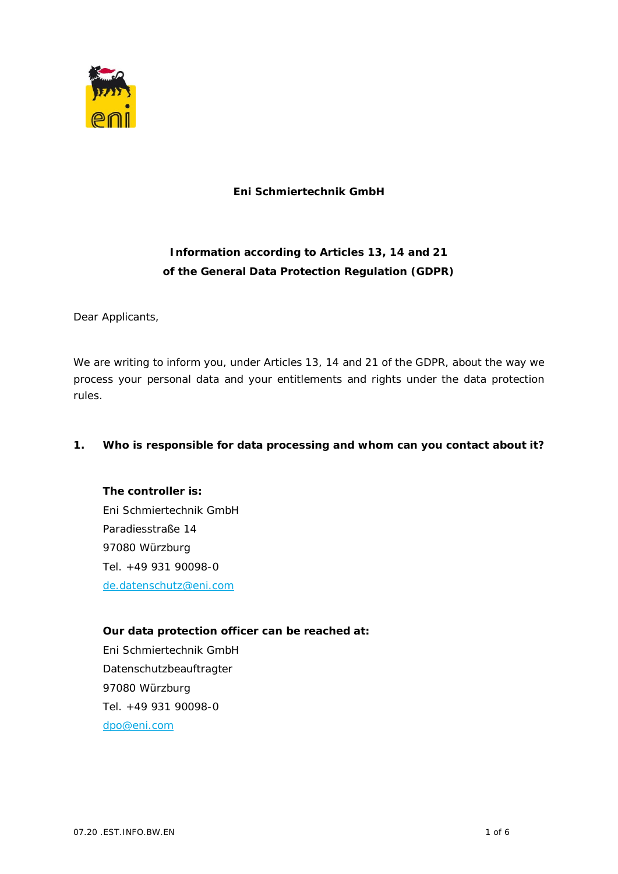

**Eni Schmiertechnik GmbH**

## **Information according to Articles 13, 14 and 21 of the General Data Protection Regulation (GDPR)**

Dear Applicants,

We are writing to inform you, under Articles 13, 14 and 21 of the GDPR, about the way we process your personal data and your entitlements and rights under the data protection rules.

**1. Who is responsible for data processing and whom can you contact about it?**

**The controller is:** Eni Schmiertechnik GmbH Paradiesstraße 14 97080 Würzburg Tel. +49 931 90098-0 de.datenschutz@eni.com

**Our data protection officer can be reached at:** Eni Schmiertechnik GmbH Datenschutzbeauftragter 97080 Würzburg Tel. +49 931 90098-0 dpo@eni.com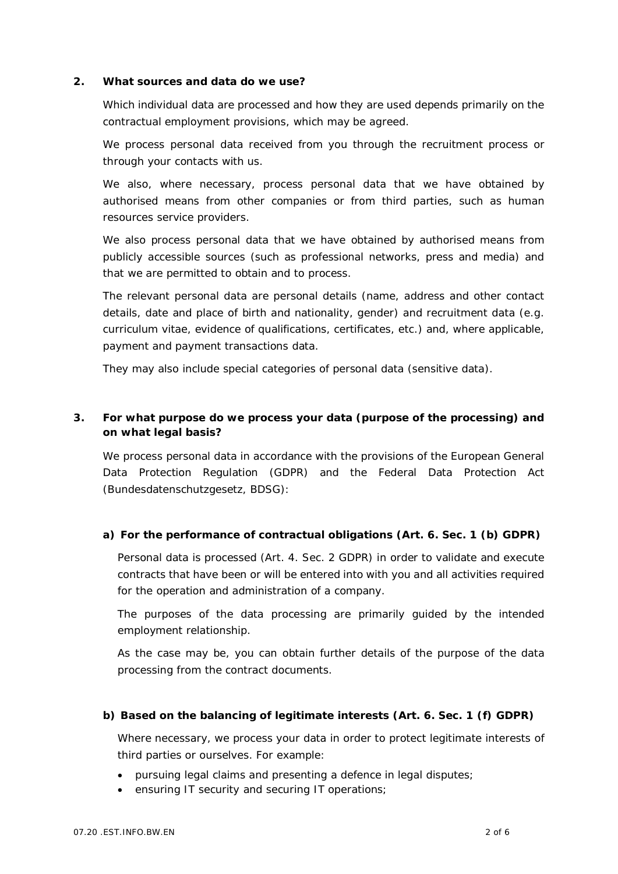**2. What sources and data do we use?**

Which individual data are processed and how they are used depends primarily on the contractual employment provisions, which may be agreed.

We process personal data received from you through the recruitment process or through your contacts with us.

We also, where necessary, process personal data that we have obtained by authorised means from other companies or from third parties, such as human resources service providers.

We also process personal data that we have obtained by authorised means from publicly accessible sources (such as professional networks, press and media) and that we are permitted to obtain and to process.

The relevant personal data are personal details (name, address and other contact details, date and place of birth and nationality, gender) and recruitment data (e.g. curriculum vitae, evidence of qualifications, certificates, etc.) and, where applicable, payment and payment transactions data.

They may also include special categories of personal data (sensitive data).

**3. For what purpose do we process your data (purpose of the processing) and on what legal basis?**

We process personal data in accordance with the provisions of the European General Data Protection Regulation (GDPR) and the Federal Data Protection Act (Bundesdatenschutzgesetz, BDSG):

**a) For the performance of contractual obligations (Art. 6. Sec. 1 (b) GDPR)**

Personal data is processed (Art. 4. Sec. 2 GDPR) in order to validate and execute contracts that have been or will be entered into with you and all activities required for the operation and administration of a company.

The purposes of the data processing are primarily guided by the intended employment relationship.

As the case may be, you can obtain further details of the purpose of the data processing from the contract documents.

**b) Based on the balancing of legitimate interests (Art. 6. Sec. 1 (f) GDPR)**

Where necessary, we process your data in order to protect legitimate interests of third parties or ourselves. For example:

- pursuing legal claims and presenting a defence in legal disputes;
- · ensuring IT security and securing IT operations;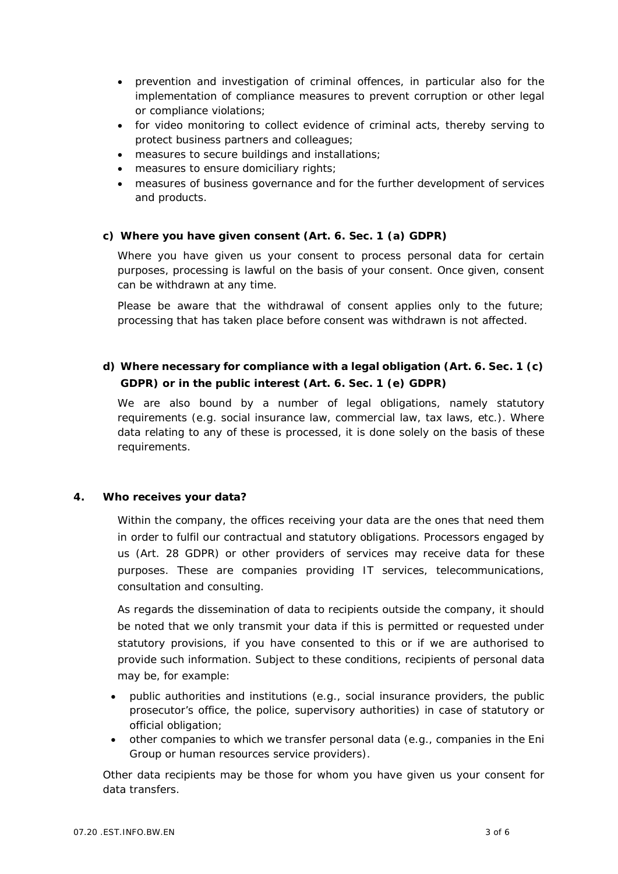- · prevention and investigation of criminal offences, in particular also for the implementation of compliance measures to prevent corruption or other legal or compliance violations;
- · for video monitoring to collect evidence of criminal acts, thereby serving to protect business partners and colleagues;
- · measures to secure buildings and installations;
- · measures to ensure domiciliary rights;
- · measures of business governance and for the further development of services and products.
- **c) Where you have given consent (Art. 6. Sec. 1 (a) GDPR)**

Where you have given us your consent to process personal data for certain purposes, processing is lawful on the basis of your consent. Once given, consent can be withdrawn at any time.

Please be aware that the withdrawal of consent applies only to the future; processing that has taken place before consent was withdrawn is not affected.

**d) Where necessary for compliance with a legal obligation (Art. 6. Sec. 1 (c) GDPR) or in the public interest (Art. 6. Sec. 1 (e) GDPR)**

We are also bound by a number of legal obligations, namely statutory requirements (e.g. social insurance law, commercial law, tax laws, etc.). Where data relating to any of these is processed, it is done solely on the basis of these requirements.

**4. Who receives your data?**

Within the company, the offices receiving your data are the ones that need them in order to fulfil our contractual and statutory obligations. Processors engaged by us (Art. 28 GDPR) or other providers of services may receive data for these purposes. These are companies providing IT services, telecommunications, consultation and consulting.

As regards the dissemination of data to recipients outside the company, it should be noted that we only transmit your data if this is permitted or requested under statutory provisions, if you have consented to this or if we are authorised to provide such information. Subject to these conditions, recipients of personal data may be, for example:

- · public authorities and institutions (e.g., social insurance providers, the public prosecutor's office, the police, supervisory authorities) in case of statutory or official obligation;
- · other companies to which we transfer personal data (e.g., companies in the Eni Group or human resources service providers).

Other data recipients may be those for whom you have given us your consent for data transfers.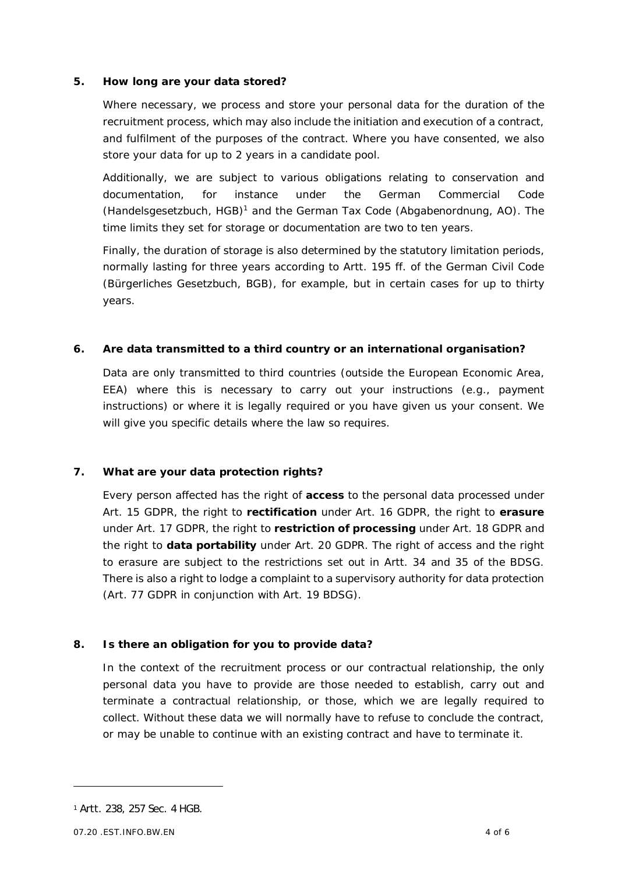## **5. How long are your data stored?**

Where necessary, we process and store your personal data for the duration of the recruitment process, which may also include the initiation and execution of a contract, and fulfilment of the purposes of the contract. Where you have consented, we also store your data for up to 2 years in a candidate pool.

Additionally, we are subject to various obligations relating to conservation and documentation, for instance under the German Commercial Code (Handelsgesetzbuch, HGB)<sup>1</sup> and the German Tax Code (Abgabenordnung, AO). The time limits they set for storage or documentation are two to ten years.

Finally, the duration of storage is also determined by the statutory limitation periods, normally lasting for three years according to Artt. 195 ff. of the German Civil Code (Bürgerliches Gesetzbuch, BGB), for example, but in certain cases for up to thirty years.

**6. Are data transmitted to a third country or an international organisation?**

Data are only transmitted to third countries (outside the European Economic Area, EEA) where this is necessary to carry out your instructions (e.g., payment instructions) or where it is legally required or you have given us your consent. We will give you specific details where the law so requires.

**7. What are your data protection rights?**

Every person affected has the right of **access** to the personal data processed under Art. 15 GDPR, the right to **rectification** under Art. 16 GDPR, the right to **erasure** under Art. 17 GDPR, the right to **restriction of processing** under Art. 18 GDPR and the right to **data portability** under Art. 20 GDPR. The right of access and the right to erasure are subject to the restrictions set out in Artt. 34 and 35 of the BDSG. There is also a right to lodge a complaint to a supervisory authority for data protection (Art. 77 GDPR in conjunction with Art. 19 BDSG).

**8. Is there an obligation for you to provide data?**

In the context of the recruitment process or our contractual relationship, the only personal data you have to provide are those needed to establish, carry out and terminate a contractual relationship, or those, which we are legally required to collect. Without these data we will normally have to refuse to conclude the contract, or may be unable to continue with an existing contract and have to terminate it.

<sup>1</sup> Artt. 238, 257 Sec. 4 HGB.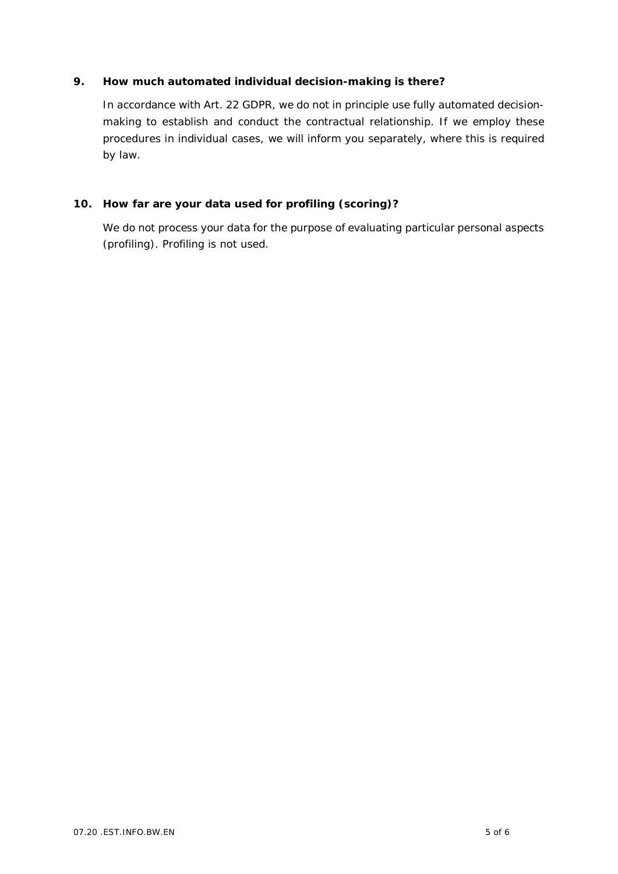## **9. How much automated individual decision-making is there?**

In accordance with Art. 22 GDPR, we do not in principle use fully automated decisionmaking to establish and conduct the contractual relationship. If we employ these procedures in individual cases, we will inform you separately, where this is required by law.

**10. How far are your data used for profiling (scoring)?**

We do not process your data for the purpose of evaluating particular personal aspects (profiling). Profiling is not used.